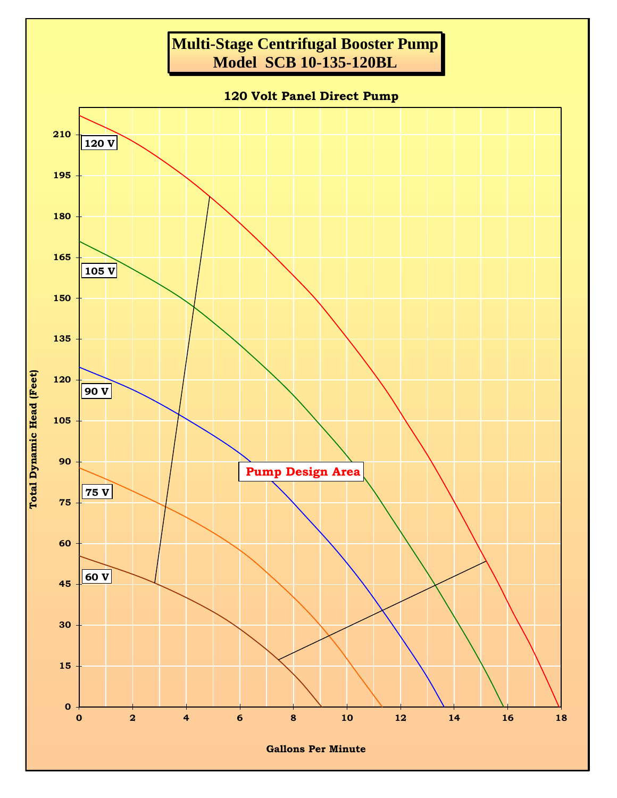